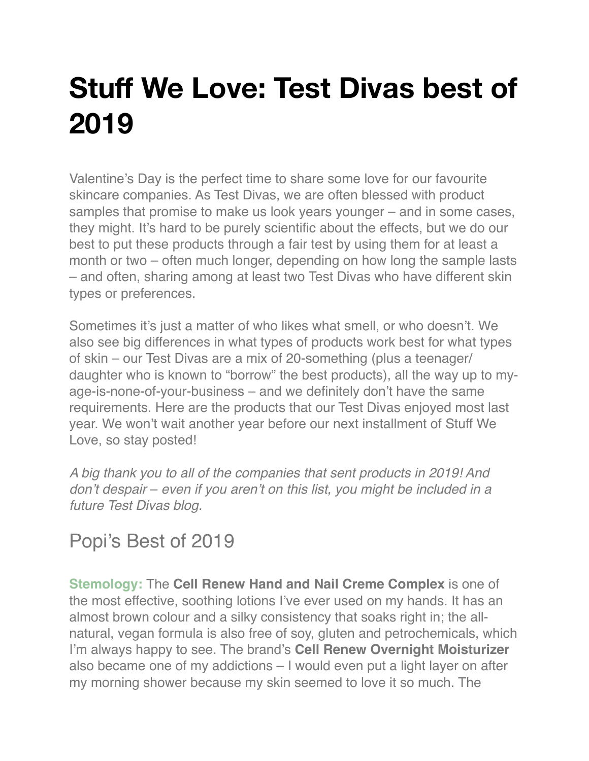## **Stuff We Love: Test Divas best of 2019**

Valentine's Day is the perfect time to share some love for our favourite skincare companies. As Test Divas, we are often blessed with product samples that promise to make us look years younger – and in some cases, they might. It's hard to be purely scientific about the effects, but we do our best to put these products through a fair test by using them for at least a month or two – often much longer, depending on how long the sample lasts – and often, sharing among at least two Test Divas who have different skin types or preferences.

Sometimes it's just a matter of who likes what smell, or who doesn't. We also see big differences in what types of products work best for what types of skin – our Test Divas are a mix of 20-something (plus a teenager/ daughter who is known to "borrow" the best products), all the way up to myage-is-none-of-your-business – and we definitely don't have the same requirements. Here are the products that our Test Divas enjoyed most last year. We won't wait another year before our next installment of Stuff We Love, so stay posted!

*A big thank you to all of the companies that sent products in 2019! And don't despair* – *even if you aren't on this list, you might be included in a future Test Divas blog.*

## Popi's Best of 2019

**[Stemology:](https://stemologyproducts.com/)** The **Cell Renew Hand and Nail Creme Complex** is one of the most effective, soothing lotions I've ever used on my hands. It has an almost brown colour and a silky consistency that soaks right in; the allnatural, vegan formula is also free of soy, gluten and petrochemicals, which I'm always happy to see. The brand's **Cell Renew Overnight Moisturizer** also became one of my addictions – I would even put a light layer on after my morning shower because my skin seemed to love it so much. The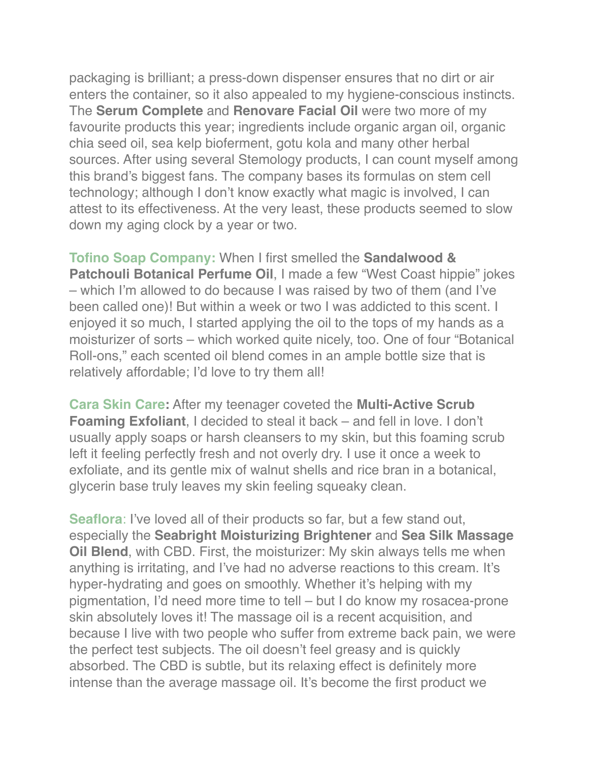packaging is brilliant; a press-down dispenser ensures that no dirt or air enters the container, so it also appealed to my hygiene-conscious instincts. The **Serum Complete** and **Renovare Facial Oil** were two more of my favourite products this year; ingredients include organic argan oil, organic chia seed oil, sea kelp bioferment, gotu kola and many other herbal sources. After using several Stemology products, I can count myself among this brand's biggest fans. The company bases its formulas on stem cell technology; although I don't know exactly what magic is involved, I can attest to its effectiveness. At the very least, these products seemed to slow down my aging clock by a year or two.

**[Tofino Soap Company:](https://tofinosoapcompany.com/)** When I first smelled the **Sandalwood & Patchouli Botanical Perfume Oil**, I made a few "West Coast hippie" jokes – which I'm allowed to do because I was raised by two of them (and I've been called one)! But within a week or two I was addicted to this scent. I enjoyed it so much, I started applying the oil to the tops of my hands as a moisturizer of sorts – which worked quite nicely, too. One of four "Botanical Roll-ons," each scented oil blend comes in an ample bottle size that is relatively affordable; I'd love to try them all!

**[Cara Skin Care:](https://caraskincare.ca/)** After my teenager coveted the **Multi-Active Scrub Foaming Exfoliant**, I decided to steal it back – and fell in love. I don't usually apply soaps or harsh cleansers to my skin, but this foaming scrub left it feeling perfectly fresh and not overly dry. I use it once a week to exfoliate, and its gentle mix of walnut shells and rice bran in a botanical, glycerin base truly leaves my skin feeling squeaky clean.

**[Seaflora](https://seafloraskincare.com/)**: I've loved all of their products so far, but a few stand out, especially the **Seabright Moisturizing Brightener** and **Sea Silk Massage Oil Blend**, with CBD. First, the moisturizer: My skin always tells me when anything is irritating, and I've had no adverse reactions to this cream. It's hyper-hydrating and goes on smoothly. Whether it's helping with my pigmentation, I'd need more time to tell – but I do know my rosacea-prone skin absolutely loves it! The massage oil is a recent acquisition, and because I live with two people who suffer from extreme back pain, we were the perfect test subjects. The oil doesn't feel greasy and is quickly absorbed. The CBD is subtle, but its relaxing effect is definitely more intense than the average massage oil. It's become the first product we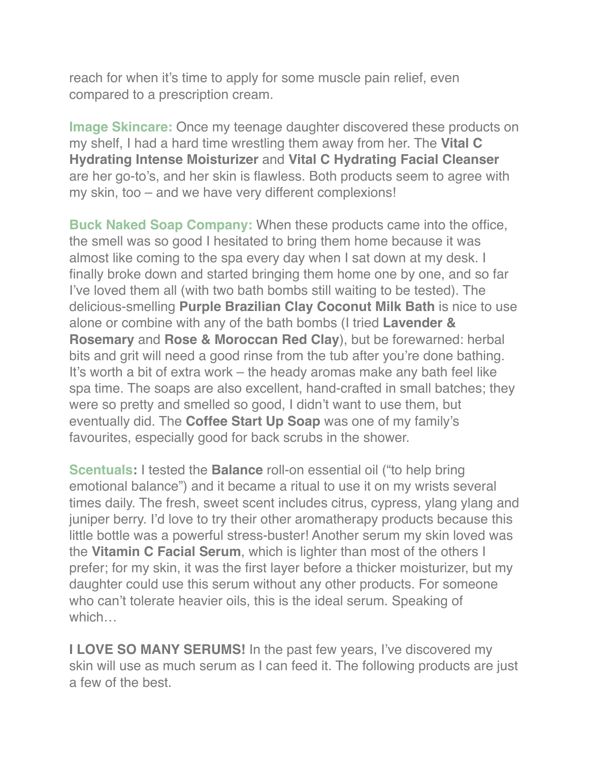reach for when it's time to apply for some muscle pain relief, even compared to a prescription cream.

**[Image Skincare:](https://imageskincare.com/)** Once my teenage daughter discovered these products on my shelf, I had a hard time wrestling them away from her. The **Vital C Hydrating Intense Moisturizer** and **Vital C Hydrating Facial Cleanser** are her go-to's, and her skin is flawless. Both products seem to agree with my skin, too – and we have very different complexions!

**[Buck Naked Soap Company:](https://bucknakedsoapcompany.com/)** When these products came into the office, the smell was so good I hesitated to bring them home because it was almost like coming to the spa every day when I sat down at my desk. I finally broke down and started bringing them home one by one, and so far I've loved them all (with two bath bombs still waiting to be tested). The delicious-smelling **Purple Brazilian Clay Coconut Milk Bath** is nice to use alone or combine with any of the bath bombs (I tried **Lavender & Rosemary** and **Rose & Moroccan Red Clay**), but be forewarned: herbal bits and grit will need a good rinse from the tub after you're done bathing. It's worth a bit of extra work – the heady aromas make any bath feel like spa time. The soaps are also excellent, hand-crafted in small batches; they were so pretty and smelled so good, I didn't want to use them, but eventually did. The **Coffee Start Up Soap** was one of my family's favourites, especially good for back scrubs in the shower.

**[Scentuals](https://www.scentuals.com/):** I tested the **Balance** roll-on essential oil ("to help bring emotional balance") and it became a ritual to use it on my wrists several times daily. The fresh, sweet scent includes citrus, cypress, ylang ylang and juniper berry. I'd love to try their other aromatherapy products because this little bottle was a powerful stress-buster! Another serum my skin loved was the **Vitamin C Facial Serum**, which is lighter than most of the others I prefer; for my skin, it was the first layer before a thicker moisturizer, but my daughter could use this serum without any other products. For someone who can't tolerate heavier oils, this is the ideal serum. Speaking of which…

**I LOVE SO MANY SERUMS!** In the past few years, I've discovered my skin will use as much serum as I can feed it. The following products are just a few of the best.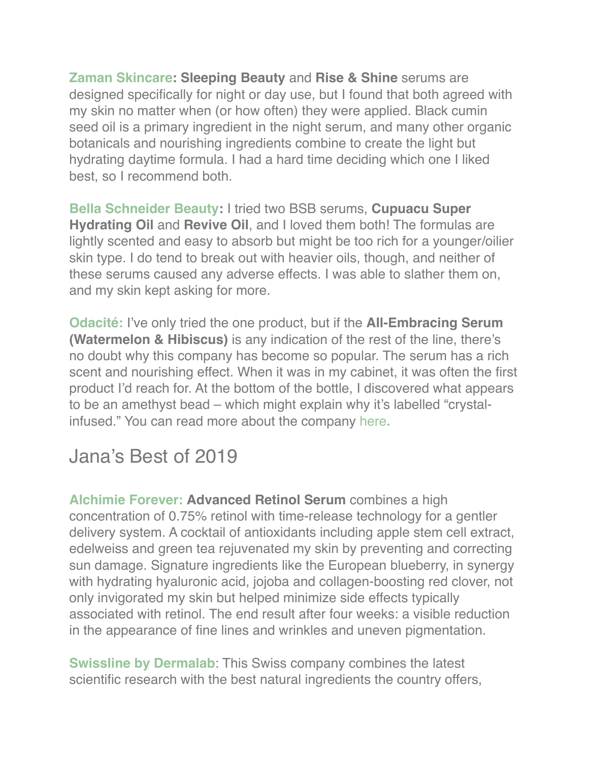**[Zaman Skincare](https://zamanskincare.com/): Sleeping Beauty** and **Rise & Shine** serums are designed specifically for night or day use, but I found that both agreed with my skin no matter when (or how often) they were applied. Black cumin seed oil is a primary ingredient in the night serum, and many other organic botanicals and nourishing ingredients combine to create the light but hydrating daytime formula. I had a hard time deciding which one I liked best, so I recommend both.

**[Bella Schneider Beauty:](https://www.bellaschneiderbeauty.com/)** I tried two BSB serums, **Cupuacu Super Hydrating Oil** and **Revive Oil**, and I loved them both! The formulas are lightly scented and easy to absorb but might be too rich for a younger/oilier skin type. I do tend to break out with heavier oils, though, and neither of these serums caused any adverse effects. I was able to slather them on, and my skin kept asking for more.

**[Odacité:](https://odacite.com/)** I've only tried the one product, but if the **All-Embracing Serum (Watermelon & Hibiscus)** is any indication of the rest of the line, there's no doubt why this company has become so popular. The serum has a rich scent and nourishing effect. When it was in my cabinet, it was often the first product I'd reach for. At the bottom of the bottle, I discovered what appears to be an amethyst bead – which might explain why it's labelled "crystalinfused." You can read more about the company [here](https://www.spainc.ca/spa-business/a-journey-to-wellness/)**.**

## Jana's Best of 2019

**[Alchimie Forever:](https://www.alchimie-forever.com/) Advanced Retinol Serum** combines a high concentration of 0.75% retinol with time-release technology for a gentler delivery system. A cocktail of antioxidants including apple stem cell extract, edelweiss and green tea rejuvenated my skin by preventing and correcting sun damage. Signature ingredients like the European blueberry, in synergy with hydrating hyaluronic acid, jojoba and collagen-boosting red clover, not only invigorated my skin but helped minimize side effects typically associated with retinol. The end result after four weeks: a visible reduction in the appearance of fine lines and wrinkles and uneven pigmentation.

**[Swissline by Dermalab](https://swissline-skincare.ca/)**: This Swiss company combines the latest scientific research with the best natural ingredients the country offers,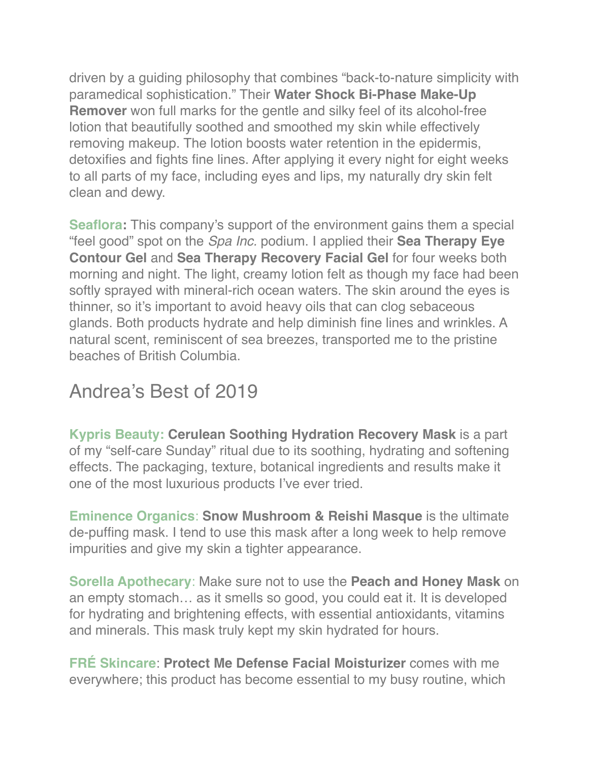driven by a guiding philosophy that combines "back-to-nature simplicity with paramedical sophistication." Their **Water Shock Bi-Phase Make-Up Remover** won full marks for the gentle and silky feel of its alcohol-free lotion that beautifully soothed and smoothed my skin while effectively removing makeup. The lotion boosts water retention in the epidermis, detoxifies and fights fine lines. After applying it every night for eight weeks to all parts of my face, including eyes and lips, my naturally dry skin felt clean and dewy.

**[Seaflora](https://seafloraskincare.com/):** This company's support of the environment gains them a special "feel good" spot on the *Spa Inc.* podium. I applied their **Sea Therapy Eye Contour Gel** and **Sea Therapy Recovery Facial Gel** for four weeks both morning and night. The light, creamy lotion felt as though my face had been softly sprayed with mineral-rich ocean waters. The skin around the eyes is thinner, so it's important to avoid heavy oils that can clog sebaceous glands. Both products hydrate and help diminish fine lines and wrinkles. A natural scent, reminiscent of sea breezes, transported me to the pristine beaches of British Columbia.

## Andrea's Best of 2019

**[Kypris Beauty:](https://kyprisbeauty.com/) Cerulean Soothing Hydration Recovery Mask** is a part of my "self-care Sunday" ritual due to its soothing, hydrating and softening effects. The packaging, texture, botanical ingredients and results make it one of the most luxurious products I've ever tried.

**[Eminence Organics](https://eminenceorganics.com/ca)**: **Snow Mushroom & Reishi Masque** is the ultimate de-puffing mask. I tend to use this mask after a long week to help remove impurities and give my skin a tighter appearance.

**[Sorella Apothecary](https://www.sorellaapothecary.com/)**: Make sure not to use the **Peach and Honey Mask** on an empty stomach… as it smells so good, you could eat it. It is developed for hydrating and brightening effects, with essential antioxidants, vitamins and minerals. This mask truly kept my skin hydrated for hours.

**[FRÉ Skincare](https://www.freskincare.com/)**: **Protect Me Defense Facial Moisturizer** comes with me everywhere; this product has become essential to my busy routine, which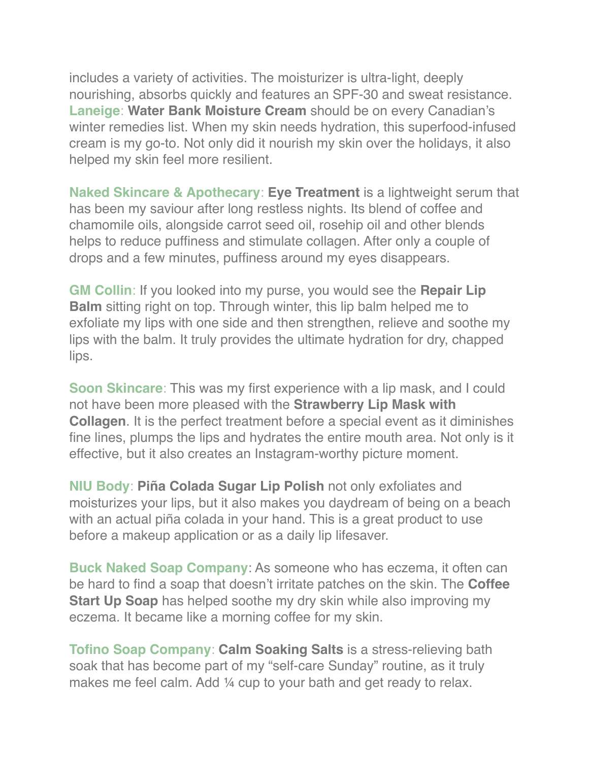includes a variety of activities. The moisturizer is ultra-light, deeply nourishing, absorbs quickly and features an SPF-30 and sweat resistance. **[Laneige](https://www.laneige.com/ca/en/index.html)**: **Water Bank Moisture Cream** should be on every Canadian's winter remedies list. When my skin needs hydration, this superfood-infused cream is my go-to. Not only did it nourish my skin over the holidays, it also helped my skin feel more resilient.

**[Naked Skincare & Apothecary](https://www.nakedskincare.ca/home)**: **Eye Treatment** is a lightweight serum that has been my saviour after long restless nights. Its blend of coffee and chamomile oils, alongside carrot seed oil, rosehip oil and other blends helps to reduce puffiness and stimulate collagen. After only a couple of drops and a few minutes, puffiness around my eyes disappears.

**[GM Collin](https://www.gmcollin.com/)**: If you looked into my purse, you would see the **Repair Lip Balm** sitting right on top. Through winter, this lip balm helped me to exfoliate my lips with one side and then strengthen, relieve and soothe my lips with the balm. It truly provides the ultimate hydration for dry, chapped lips.

**[Soon Skincare](https://soonskincare.com/):** This was my first experience with a lip mask, and I could not have been more pleased with the **Strawberry Lip Mask with Collagen**. It is the perfect treatment before a special event as it diminishes fine lines, plumps the lips and hydrates the entire mouth area. Not only is it effective, but it also creates an Instagram-worthy picture moment.

**[NIU Body](https://www.niubody.com/)**: **Piña Colada Sugar Lip Polish** not only exfoliates and moisturizes your lips, but it also makes you daydream of being on a beach with an actual piña colada in your hand. This is a great product to use before a makeup application or as a daily lip lifesaver.

**[Buck Naked Soap Company](https://bucknakedsoapcompany.com/)**: As someone who has eczema, it often can be hard to find a soap that doesn't irritate patches on the skin. The **Coffee Start Up Soap** has helped soothe my dry skin while also improving my eczema. It became like a morning coffee for my skin.

**[Tofino Soap Company](https://tofinosoapcompany.com/)**: **Calm Soaking Salts** is a stress-relieving bath soak that has become part of my "self-care Sunday" routine, as it truly makes me feel calm. Add ¼ cup to your bath and get ready to relax.